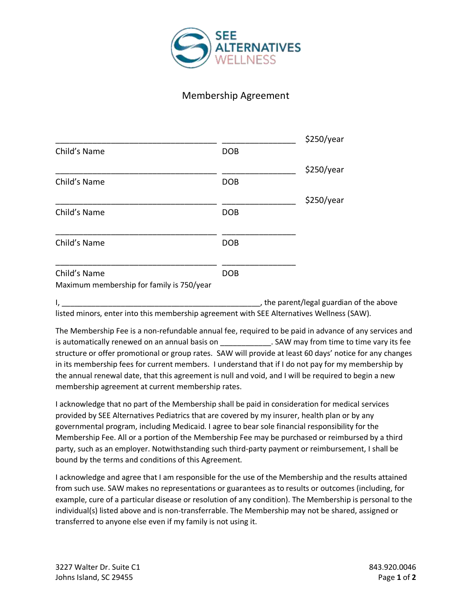

## Membership Agreement

|                                           |            | \$250/year |
|-------------------------------------------|------------|------------|
| Child's Name                              | <b>DOB</b> |            |
|                                           |            | \$250/year |
| Child's Name                              | <b>DOB</b> |            |
|                                           |            | \$250/year |
| Child's Name                              | <b>DOB</b> |            |
| Child's Name                              | <b>DOB</b> |            |
| Child's Name                              | <b>DOB</b> |            |
| Maximum membership for family is 750/year |            |            |

I, the parent/legal guardian of the above in the state of the above in the above in the above in the above in the above in the above in the above in the above in the above in the above in the above in the above in the stat listed minors, enter into this membership agreement with SEE Alternatives Wellness (SAW).

The Membership Fee is a non-refundable annual fee, required to be paid in advance of any services and is automatically renewed on an annual basis on \_\_\_\_\_\_\_\_\_\_\_\_\_\_. SAW may from time to time vary its fee structure or offer promotional or group rates. SAW will provide at least 60 days' notice for any changes in its membership fees for current members. I understand that if I do not pay for my membership by the annual renewal date, that this agreement is null and void, and I will be required to begin a new membership agreement at current membership rates.

I acknowledge that no part of the Membership shall be paid in consideration for medical services provided by SEE Alternatives Pediatrics that are covered by my insurer, health plan or by any governmental program, including Medicaid. I agree to bear sole financial responsibility for the Membership Fee. All or a portion of the Membership Fee may be purchased or reimbursed by a third party, such as an employer. Notwithstanding such third-party payment or reimbursement, I shall be bound by the terms and conditions of this Agreement.

I acknowledge and agree that I am responsible for the use of the Membership and the results attained from such use. SAW makes no representations or guarantees as to results or outcomes (including, for example, cure of a particular disease or resolution of any condition). The Membership is personal to the individual(s) listed above and is non-transferrable. The Membership may not be shared, assigned or transferred to anyone else even if my family is not using it.